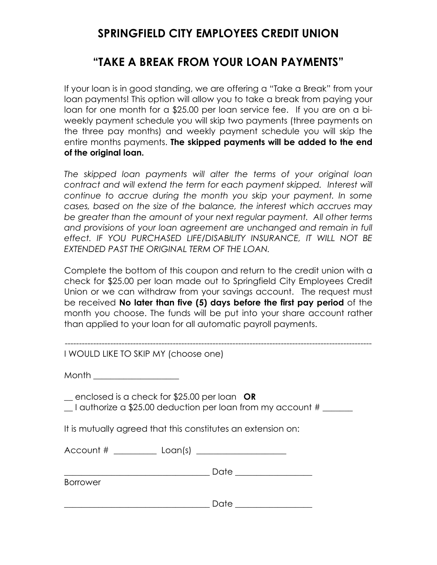## **SPRINGFIELD CITY EMPLOYEES CREDIT UNION**

## **"TAKE A BREAK FROM YOUR LOAN PAYMENTS"**

If your loan is in good standing, we are offering a "Take a Break" from your loan payments! This option will allow you to take a break from paying your loan for one month for a \$25.00 per loan service fee. If you are on a biweekly payment schedule you will skip two payments (three payments on the three pay months) and weekly payment schedule you will skip the entire months payments. **The skipped payments will be added to the end of the original loan.**

*The skipped loan payments will alter the terms of your original loan*  contract and will extend the term for each payment skipped. Interest will *continue to accrue during the month you skip your payment. In some cases, based on the size of the balance, the interest which accrues may be greater than the amount of your next regular payment. All other terms and provisions of your loan agreement are unchanged and remain in full effect. IF YOU PURCHASED LIFE/DISABILITY INSURANCE, IT WILL NOT BE EXTENDED PAST THE ORIGINAL TERM OF THE LOAN.* 

Complete the bottom of this coupon and return to the credit union with a check for \$25.00 per loan made out to Springfield City Employees Credit Union or we can withdraw from your savings account. The request must be received **No later than five (5) days before the first pay period** of the month you choose. The funds will be put into your share account rather than applied to your loan for all automatic payroll payments.

------------------------------------------------------------------------------------------------------------

| I WOULD LIKE TO SKIP MY (choose one) |
|--------------------------------------|
|                                      |

| Month |
|-------|
|-------|

\_\_ enclosed is a check for \$25.00 per loan **OR**

 $\angle$  I authorize a \$25.00 deduction per loan from my account #  $\angle$ 

It is mutually agreed that this constitutes an extension on:

| Account #<br>Loan(s) |  |
|----------------------|--|
|----------------------|--|

\_\_\_\_\_\_\_\_\_\_\_\_\_\_\_\_\_\_\_\_\_\_\_\_\_\_\_\_\_\_\_\_\_\_ Date \_\_\_\_\_\_\_\_\_\_\_\_\_\_\_\_\_\_

| <b>Borrower</b> |  |
|-----------------|--|
|-----------------|--|